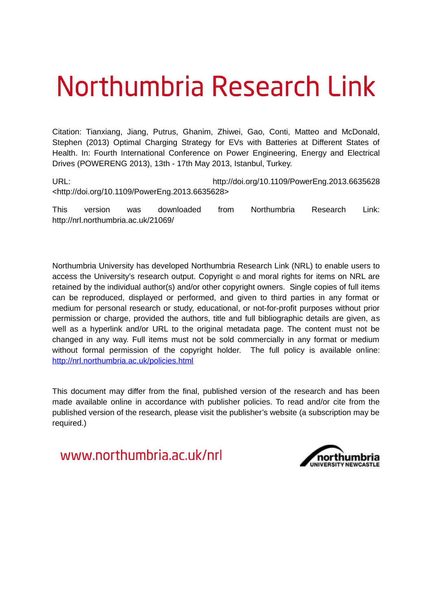# Northumbria Research Link

Citation: Tianxiang, Jiang, Putrus, Ghanim, Zhiwei, Gao, Conti, Matteo and McDonald, Stephen (2013) Optimal Charging Strategy for EVs with Batteries at Different States of Health. In: Fourth International Conference on Power Engineering, Energy and Electrical Drives (POWERENG 2013), 13th - 17th May 2013, Istanbul, Turkey.

URL: http://doi.org/10.1109/PowerEng.2013.6635628 <http://doi.org/10.1109/PowerEng.2013.6635628>

This version was downloaded from Northumbria Research Link: http://nrl.northumbria.ac.uk/21069/

Northumbria University has developed Northumbria Research Link (NRL) to enable users to access the University's research output. Copyright  $\circ$  and moral rights for items on NRL are retained by the individual author(s) and/or other copyright owners. Single copies of full items can be reproduced, displayed or performed, and given to third parties in any format or medium for personal research or study, educational, or not-for-profit purposes without prior permission or charge, provided the authors, title and full bibliographic details are given, as well as a hyperlink and/or URL to the original metadata page. The content must not be changed in any way. Full items must not be sold commercially in any format or medium without formal permission of the copyright holder. The full policy is available online: <http://nrl.northumbria.ac.uk/policies.html>

This document may differ from the final, published version of the research and has been made available online in accordance with publisher policies. To read and/or cite from the published version of the research, please visit the publisher's website (a subscription may be required.)

www.northumbria.ac.uk/nrl

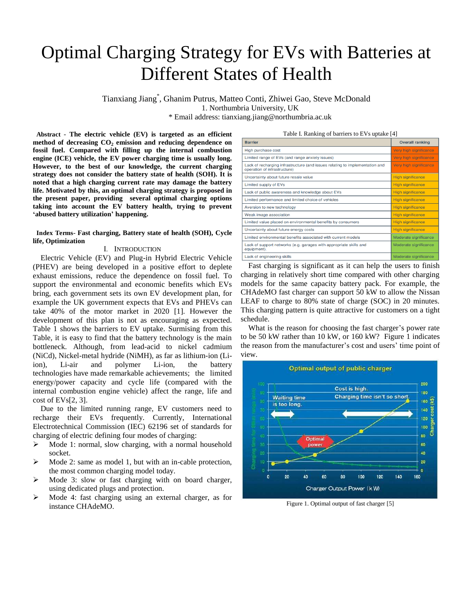# Optimal Charging Strategy for EVs with Batteries at Different States of Health

Tianxiang Jiang\* , Ghanim Putrus, Matteo Conti, Zhiwei Gao, Steve McDonald 1. Northumbria University, UK \* Email address: tianxiang.jiang@northumbria.ac.uk

 **Abstract** - **The electric vehicle (EV) is targeted as an efficient method of decreasing CO<sup>2</sup> emission and reducing dependence on fossil fuel. Compared with filling up the internal combustion engine (ICE) vehicle, the EV power charging time is usually long. However, to the best of our knowledge, the current charging strategy does not consider the battery state of health (SOH). It is noted that a high charging current rate may damage the battery life. Motivated by this, an optimal charging strategy is proposed in the present paper, providing several optimal charging options taking into account the EV battery health, trying to prevent 'abused battery utilization' happening.** 

# **Index Terms- Fast charging, Battery state of health (SOH), Cycle life, Optimization**

# I. INTRODUCTION

Electric Vehicle (EV) and Plug-in Hybrid Electric Vehicle (PHEV) are being developed in a positive effort to deplete exhaust emissions, reduce the dependence on fossil fuel. To support the environmental and economic benefits which EVs bring, each government sets its own EV development plan, for example the UK government expects that EVs and PHEVs can take 40% of the motor market in 2020 [1]. However the development of this plan is not as encouraging as expected. Table 1 shows the barriers to EV uptake. Surmising from this Table, it is easy to find that the battery technology is the main bottleneck. Although, from lead-acid to nickel cadmium (NiCd), Nickel-metal hydride (NiMH), as far as lithium-ion (Liion), Li-air and polymer Li-ion, the battery technologie[s have](http://www.haodic.com/query/have/) [made](http://www.haodic.com/query/made/) [remarkable](http://www.haodic.com/query/remarkable/) [achievements;](http://www.haodic.com/query/achievements/) the limited energy/power capacity and cycle life (compared with the internal combustion engine vehicle) affect the range, life and cost of EVs[2, 3].

Due to the limited running range, EV customers need to recharge their EVs frequently. Currently, International Electrotechnical Commission (IEC) 62196 set of standards for charging of electric defining four modes of charging:

- $\triangleright$  Mode 1: normal, slow charging, with a normal household socket.
- $\triangleright$  Mode 2: same as model 1, but with an in-cable protection, the most common charging model today.
- Mode 3: slow or fast charging with on board charger, using dedicated plugs and protection.
- $\triangleright$  Mode 4: fast charging using an external charger, as for instance CHAdeMO.

| $1400 \text{ C}$ is intentional of battless to E $\text{V}$ s applies $\text{V}$                             |                          |  |  |
|--------------------------------------------------------------------------------------------------------------|--------------------------|--|--|
| <b>Barrier</b>                                                                                               | <b>Overall ranking</b>   |  |  |
| High purchase cost                                                                                           | Very high significance   |  |  |
| Limited range of EVs (and range anxiety issues)                                                              | Very high significance   |  |  |
| Lack of recharging infrastructure (and issues relating to implementation and<br>operation of infrastructure) | Very high significance   |  |  |
| Uncertainty about future resale value                                                                        | <b>High significance</b> |  |  |
| Limited supply of EVs                                                                                        | <b>High significance</b> |  |  |
| Lack of public awareness and knowledge about EVs                                                             | <b>High significance</b> |  |  |
| Limited performance and limited choice of vehicles                                                           | <b>High significance</b> |  |  |
| Aversion to new technology                                                                                   | <b>High significance</b> |  |  |
| Weak image association                                                                                       | <b>High significance</b> |  |  |
| Limited value placed on environmental benefits by consumers                                                  | <b>High significance</b> |  |  |
| Uncertainty about future energy costs                                                                        | <b>High significance</b> |  |  |
| Limited environmental benefits associated with current models                                                | Moderate significance    |  |  |
| Lack of support networks (e.g. garages with appropriate skills and<br>equipment).                            | Moderate significance    |  |  |
| Lack of engineering skills                                                                                   | Moderate significance    |  |  |

Fast charging is significant as it can help the users to finish charging in relatively short time compared with other charging models for the same capacity battery pack. For example, the CHAdeMO fast charger can support 50 kW to allow the Nissan LEAF to charge to 80% state of charge (SOC) in 20 minutes. This charging pattern is quite attractive for customers on a tight schedule.

What is the reason for choosing the fast charger's power rate to be 50 kW rather than 10 kW, or 160 kW? Figure 1 indicates the reason from the manufacturer's cost and users' time point of view.



Figure 1. Optimal output of fast charger [5]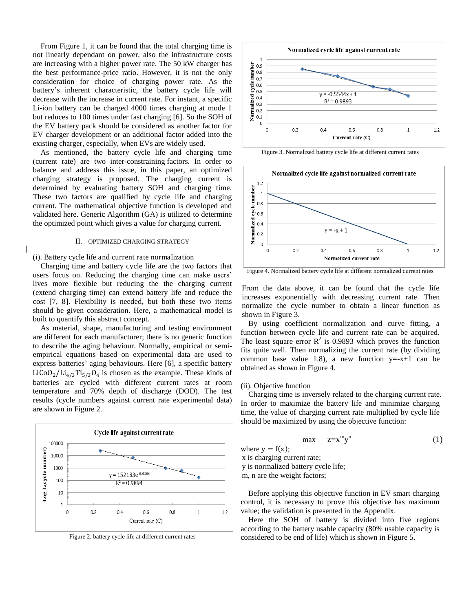From Figure 1, it can be found that the total charging time is not linearly dependant on power, also the infrastructure costs are increasing with a higher power rate. The 50 kW charger has the best performance-price ratio. However, it is not the [only](http://www.iciba.com/%E5%85%A8%E9%9D%A2/comprehensive)  consideration for choice of charging power rate. As the battery's inherent characteristic, the battery cycle life will decrease with the increase in current rate. For instant, a specific Li-ion battery can be charged 4000 times charging at mode 1 but reduces to 100 times under fast charging [6]. So the SOH of the EV battery pack should be considered as another factor for EV charger development or an additional factor added into the existing charger, especially, when EVs are widely used.

As mentioned, the battery cycle life and charging time (current rate) are two inter-constraining factors. In order to balance and address this issue, in this paper, an optimized charging strategy is proposed. The charging current is determined by evaluating battery SOH and charging time. These two factors are qualified by cycle life and charging current. The mathematical objective function is developed and validated here. Generic Algorithm (GA) is utilized to determine the optimized point which gives a value for charging current.

# II. OPTIMIZED CHARGING STRATEGY

#### (i). Battery cycle life and current rate normalization

Charging time and battery cycle life are the two factors that users focus on. Reducing the charging time can make users' lives more flexible but reducing the the charging current (extend charging time) can extend battery life and reduce the cost [7, 8]. Flexibility is needed, but both these two items should be given consideration. Here, a mathematical model is built to quantify this abstract concept.

As material, shape, manufacturing and testing environment are different for each manufacturer; there is no generic function to describe the aging behaviour. Normally, empirical or semiempirical equations based on experimental data are used to express batteries' aging behaviours. Here [6], a specific battery  $LiCoO<sub>2</sub>/Li<sub>4/3</sub>Ti<sub>5/3</sub>O<sub>4</sub>$  is chosen as the example. These kinds of batteries are cycled with different current rates at room temperature and 70% depth of discharge (DOD). The test results (cycle numbers against current rate experimental data) are shown in Figure 2.



Figure 2. battery cycle life at different current rates



Figure 3. Normalized battery cycle life at different current rates



Figure 4. Normalized battery cycle life at different normalized current rates

From the data above, it can be found that the cycle life increases exponentially with decreasing current rate. Then normalize the cycle number to obtain a linear function as shown in Figure 3.

By using coefficient normalization and curve fitting, a function between cycle life and current rate can be acquired. The least square error  $R^2$  is 0.9893 which proves the function fits quite well. Then normalizing the current rate (by dividing common base value 1.8), a new function  $y = -x+1$  can be obtained as shown in Figure 4.

#### (ii). Objective function

Charging time is inversely related to the charging current rate. In order to maximize the battery life and minimize charging time, the value of charging current rate multiplied by cycle life should be maximized by using the objective function:

$$
\max \quad z=x^m y^n \tag{1}
$$

where  $y = f(x)$ ;

x is charging current rate; y is normalized battery cycle life;

m, n are the weight factors;

Before applying this objective function in EV smart charging control, it is necessary to prove this objective has maximum value; the validation is presented in the Appendix.

Here the SOH of battery is divided into five regions according to the battery usable capacity (80% usable capacity is considered to be end of life) which is shown in Figure 5.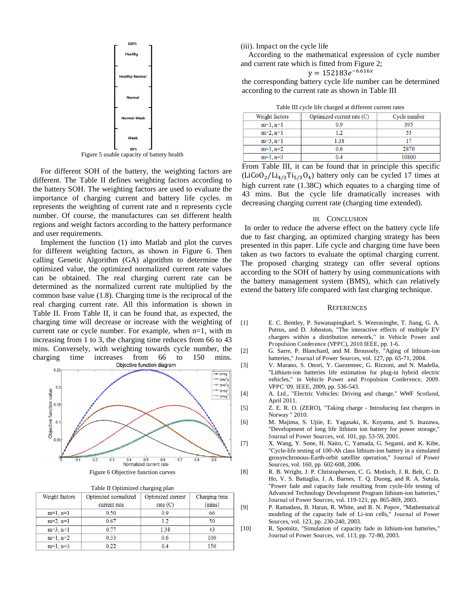

Figure 5 usable capacity of battery health

For different SOH of the battery, the weighting factors are different. The Table II defines weighting factors according to the battery SOH. The weighting factors are used to evaluate the importance of charging current and battery life cycles. m represents the weighting of current rate and n represents cycle number. Of course, the manufactures can set different health regions and weight factors according to the battery performance and user requirements.

Implement the function (1) into Matlab and plot the curves for different weighting factors, as shown in Figure 6. Then calling Genetic Algorithm (GA) algorithm to determine the optimized value, the optimized normalized current rate values can be obtained. The real charging current rate can be determined as the normalized current rate multiplied by the common base value (1.8). Charging time is the reciprocal of the real charging current rate. All this information is shown in Table II. From Table II, it can be found that, as expected, the charging time will decrease or increase with the weighting of current rate or cycle number. For example, when n=1, with m increasing from 1 to 3, the charging time reduces from 66 to 43 mins. Conversely, with weighting towards cycle number, the charging time increases from 66 to 150 mins. charging time increases from 66 to 150 mins.<br>Objective function diagram



|                | Table II Optimized charging plan |                      |                   |               |  |  |
|----------------|----------------------------------|----------------------|-------------------|---------------|--|--|
| Weight factors |                                  | Optimized normalized | Optimized current | Charging time |  |  |
|                |                                  | current rate         | rate $(C)$        | (mins)        |  |  |
|                | $m=1, n=1$                       | 0.50                 | 09                | 66            |  |  |
|                | $m=2, n=1$                       | 0.67                 | 12                | 50            |  |  |
|                | $m=3, n=1$                       | 0.77                 | 1.38              | 43            |  |  |
|                | $m=1, n=2$                       | 0.33                 | 0.6               | 100           |  |  |
|                | $m=1$ , $n=3$                    | 0 22                 |                   | 15C           |  |  |

(iii). Impact on the cycle life

According to the mathematical expression of cycle number and current rate which is fitted from Figure 2;

$$
y = 152183e^{-6.616x}
$$

the corresponding battery cycle life number can be determined according to the current rate as shown in Table III

|  |  | Table III cycle life charged at different current rates |  |
|--|--|---------------------------------------------------------|--|
|  |  |                                                         |  |

| Weight factors | Optimized current rate (C) | Cycle number |  |  |  |
|----------------|----------------------------|--------------|--|--|--|
| $m=1, n=1$     | 09                         | 395          |  |  |  |
| $m=2, n=1$     | l 2                        | 55           |  |  |  |
| $m=3, n=1$     | 1.38                       |              |  |  |  |
| $m=1, n=2$     | 0.6                        | 2870         |  |  |  |
| $m=1, n=3$     |                            | 10800        |  |  |  |

From Table III, it can be found that in principle this specific  $(LiCoO<sub>2</sub>/Li<sub>4/3</sub>Ti<sub>5/3</sub>O<sub>4</sub>)$  battery only can be cycled 17 times at high current rate (1.38C) which equates to a charging time of 43 mins. But the cycle life dramatically increases with decreasing charging current rate (charging time extended).

#### III. CONCLUSION

 In order to reduce the adverse effect on the battery cycle life due to fast charging, an optimized charging strategy has been presented in this paper. Life cycle and charging time have been taken as two factors to evaluate the optimal charging current. The proposed charging strategy can offer several options according to the SOH of battery by using communications with the battery management system (BMS), which can relatively extend the battery life compared with fast charging technique.

#### **REFERENCES**

- [1] E. C. Bentley, P. Suwanapingkarl, S. Weerasinghe, T. Jiang, G. A. Putrus, and D. Johnston, "The interactive effects of multiple EV chargers within a distribution network," in Vehicle Power and Propulsion Conference (VPPC), 2010 IEEE, pp. 1-6.
- [2] G. Sarre, P. Blanchard, and M. Broussely, "Aging of lithium-ion batteries," Journal of Power Sources, vol. 127, pp. 65-71, 2004.
- [3] V. Marano, S. Onori, Y. Guezennec, G. Rizzoni, and N. Madella, "Lithium-ion batteries life estimation for plug-in hybrid electric vehicles," in Vehicle Power and Propulsion Conference, 2009. VPPC '09. IEEE, 2009, pp. 536-543.
- [4] A. Ltd., "Electric Vehicles: Driving and change," WWF Scotland, April 2011.
- [5] Z. E. R. O. (ZERO), "Taking charge Introducing fast chargers in Norway " 2010.
- [6] M. Majima, S. Ujiie, E. Yagasaki, K. Koyama, and S. Inazawa, "Development of long life lithium ion battery for power storage," Journal of Power Sources, vol. 101, pp. 53-59, 2001.
- [7] X. Wang, Y. Sone, H. Naito, C. Yamada, G. Segami, and K. Kibe, "Cycle-life testing of 100-Ah class lithium-ion battery in a simulated geosynchronous-Earth-orbit satellite operation," Journal of Power Sources, vol. 160, pp. 602-608, 2006.
- [8] R. B. Wright, J. P. Christophersen, C. G. Motloch, J. R. Belt, C. D. Ho, V. S. Battaglia, J. A. Barnes, T. Q. Duong, and R. A. Sutula, "Power fade and capacity fade resulting from cycle-life testing of Advanced Technology Development Program lithium-ion batteries," Journal of Power Sources, vol. 119-121, pp. 865-869, 2003.
- [9] P. Ramadass, B. Haran, R. White, and B. N. Popov, "Mathematical modeling of the capacity fade of Li-ion cells," Journal of Power Sources, vol. 123, pp. 230-240, 2003.
- [10] R. Spotnitz, "Simulation of capacity fade in lithium-ion batteries," Journal of Power Sources, vol. 113, pp. 72-80, 2003.